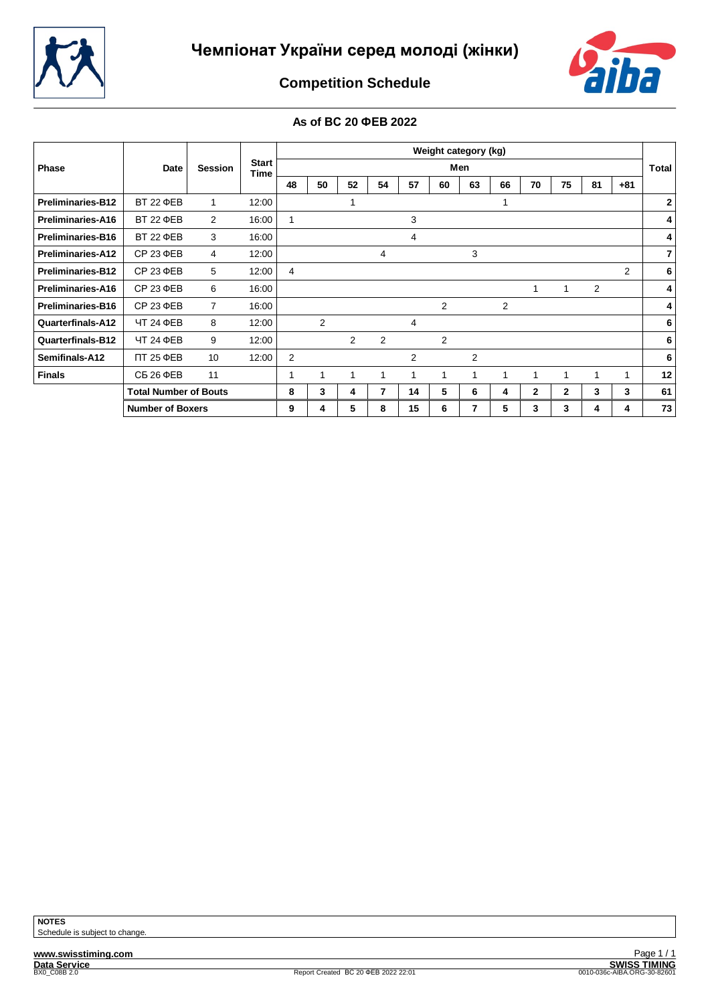



**Competition Schedule**

# **As of ВС 20 ФЕВ 2022**

|                          |                              |                |                      |    |                |    |                |    | Weight category (kg) |     |    |              |              |    |                |                |
|--------------------------|------------------------------|----------------|----------------------|----|----------------|----|----------------|----|----------------------|-----|----|--------------|--------------|----|----------------|----------------|
| Phase                    | Date                         | <b>Session</b> | <b>Start</b><br>Time |    |                |    |                |    |                      | Men |    |              |              |    |                | Total          |
|                          |                              |                |                      | 48 | 50             | 52 | 54             | 57 | 60                   | 63  | 66 | 70           | 75           | 81 | $+81$          |                |
| <b>Preliminaries-B12</b> | <b>BT 22 ΦEB</b>             |                | 12:00                |    |                |    |                |    |                      |     |    |              |              |    |                | $\mathbf{2}$   |
| <b>Preliminaries-A16</b> | <b>BT 22 ΦEB</b>             | 2              | 16:00                |    |                |    |                | 3  |                      |     |    |              |              |    |                | 4              |
| <b>Preliminaries-B16</b> | <b>BT 22 ΦEB</b>             | 3              | 16:00                |    |                |    |                | 4  |                      |     |    |              |              |    |                | $\vert$        |
| <b>Preliminaries-A12</b> | CP 23 ΦEB                    | 4              | 12:00                |    |                |    | 4              |    |                      | 3   |    |              |              |    |                | 7 <sup>1</sup> |
| <b>Preliminaries-B12</b> | CP 23 ΦEB                    | 5              | 12:00                | 4  |                |    |                |    |                      |     |    |              |              |    | $\overline{2}$ | 6              |
| <b>Preliminaries-A16</b> | CP 23 ΦEB                    | 6              | 16:00                |    |                |    |                |    |                      |     |    | 1            | -1           | 2  |                | 4              |
| <b>Preliminaries-B16</b> | CP 23 ΦEB                    | $\overline{7}$ | 16:00                |    |                |    |                |    | 2                    |     | 2  |              |              |    |                | $\vert$ 4      |
| Quarterfinals-A12        | ЧТ 24 ФЕВ                    | 8              | 12:00                |    | $\overline{2}$ |    |                | 4  |                      |     |    |              |              |    |                | 6              |
| Quarterfinals-B12        | ЧТ 24 ФЕВ                    | 9              | 12:00                |    |                | 2  | $\overline{2}$ |    | 2                    |     |    |              |              |    |                | 6              |
| Semifinals-A12           | <b>NT 25 ΦEB</b>             | 10             | 12:00                | 2  |                |    |                | 2  |                      | 2   |    |              |              |    |                | 6              |
| <b>Finals</b>            | <b>СБ 26 ФЕВ</b>             | 11             |                      | 1  |                |    | 1              | 1  | 1                    | ٠   |    |              |              | 1  | 1              | 12             |
|                          | <b>Total Number of Bouts</b> |                |                      | 8  | 3              | 4  | 7              | 14 | 5                    | 6   | 4  | $\mathbf{2}$ | $\mathbf{2}$ | 3  | 3              | 61             |
|                          | <b>Number of Boxers</b>      |                |                      | 9  | 4              | 5  | 8              | 15 | 6                    | 7   | 5  | 3            | 3            | 4  | 4              | 73             |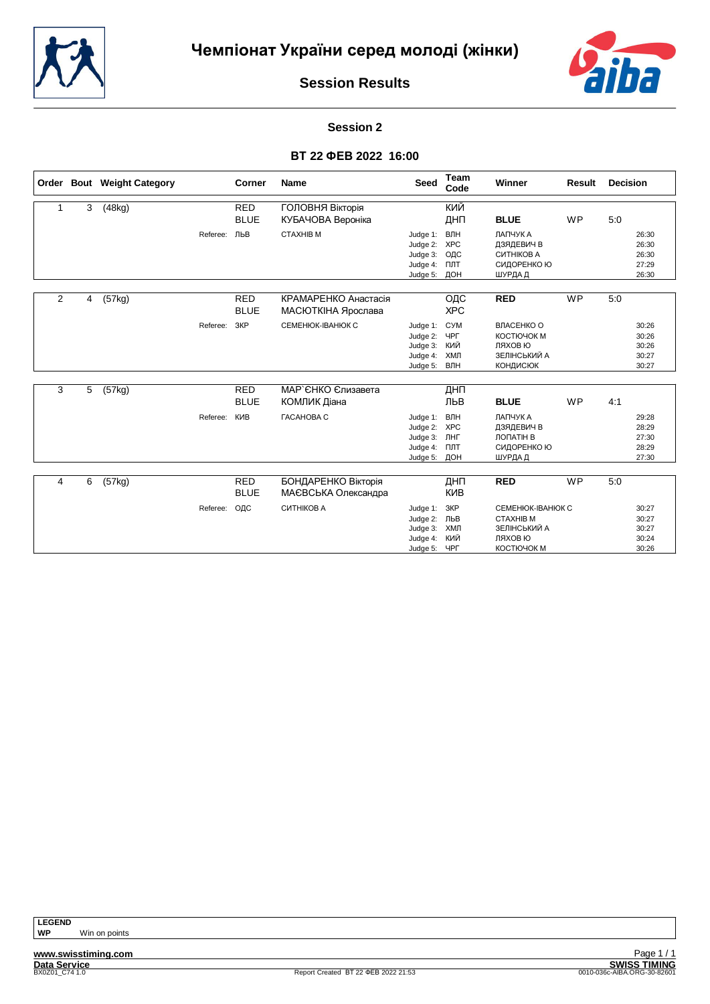



#### **Session 2**

## **ВТ 22 ФЕВ 2022 16:00**

|                |   | Order Bout Weight Category |          | Corner                    | <b>Name</b>                                | <b>Seed</b>                                                  | Team<br>Code                           | Winner                                                                          | <b>Result</b> | <b>Decision</b>                           |
|----------------|---|----------------------------|----------|---------------------------|--------------------------------------------|--------------------------------------------------------------|----------------------------------------|---------------------------------------------------------------------------------|---------------|-------------------------------------------|
| 1              | 3 | (48kg)                     |          | <b>RED</b><br><b>BLUE</b> | ГОЛОВНЯ Вікторія<br>КУБАЧОВА Вероніка      |                                                              | кий<br>ДНП                             | <b>BLUE</b>                                                                     | <b>WP</b>     | 5:0                                       |
|                |   |                            | Referee: | ЛЬВ                       | <b>CTAXHIB M</b>                           | Judge 1:<br>Judge 2:<br>Judge 3:<br>Judge 4:<br>Judge 5:     | ВЛН<br><b>XPC</b><br>ОДС<br>ПЛТ<br>ДОН | ЛАПЧУК А<br>ДЗЯДЕВИЧ В<br>СИТНІКОВ А<br>СИДОРЕНКО Ю<br>ШУРДА Д                  |               | 26:30<br>26:30<br>26:30<br>27:29<br>26:30 |
| $\overline{2}$ | 4 | (57kg)                     |          | <b>RED</b><br><b>BLUE</b> | КРАМАРЕНКО Анастасія<br>МАСЮТКІНА Ярослава |                                                              | ОДС<br><b>XPC</b>                      | <b>RED</b>                                                                      | <b>WP</b>     | 5:0                                       |
|                |   |                            | Referee: | 3KP                       | CEMEHIOK-IBAHIOK C                         | Judge 1:<br>Judge 2:<br>Judge 3:<br>Judge 4:<br>Judge 5:     | <b>CYM</b><br>ЧРГ<br>КИЙ<br>ХМЛ<br>ВЛН | ВЛАСЕНКО О<br>КОСТЮЧОК М<br>ЛЯХОВ Ю<br>ЗЕЛІНСЬКИЙ А<br><b>КОНДИСЮК</b>          |               | 30:26<br>30:26<br>30:26<br>30:27<br>30:27 |
| 3              | 5 | (57kg)                     |          | <b>RED</b><br><b>BLUE</b> | МАР`ЄНКО Єлизавета<br>КОМЛИК Діана         |                                                              | ДНП<br>ЛЬВ                             | <b>BLUE</b>                                                                     | <b>WP</b>     | 4:1                                       |
|                |   |                            | Referee: | КИВ                       | <b><i>FACAHOBA C</i></b>                   | Judge 1:<br>Judge 2:<br>Judge 3:<br>Judge 4:<br>Judge 5: ДОН | ВЛН<br><b>XPC</b><br>ЛНГ<br>ПЛТ        | ЛАПЧУК А<br>ДЗЯДЕВИЧ В<br>ЛОПАТІН В<br>СИДОРЕНКО Ю<br>ШУРДА Д                   |               | 29:28<br>28:29<br>27:30<br>28:29<br>27:30 |
| 4              | 6 | (57kg)                     |          | <b>RED</b>                | БОНДАРЕНКО Вікторія                        |                                                              | ДНП                                    | <b>RED</b>                                                                      | <b>WP</b>     | 5:0                                       |
|                |   |                            |          | <b>BLUE</b>               | МАЄВСЬКА Олександра                        |                                                              | <b>KNB</b>                             |                                                                                 |               |                                           |
|                |   |                            | Referee: | ОДС                       | СИТНІКОВ А                                 | Judge 1:<br>Judge 2: ЛЬВ<br>Judge 3:<br>Judge 4:<br>Judge 5: | ЗКР<br>ХМЛ<br>КИЙ<br>ЧРГ               | CEMEHIOK-IBAHIOK C<br><b>CTAXHIB M</b><br>ЗЕЛІНСЬКИЙ А<br>ЛЯХОВ Ю<br>КОСТЮЧОК М |               | 30:27<br>30:27<br>30:27<br>30:24<br>30:26 |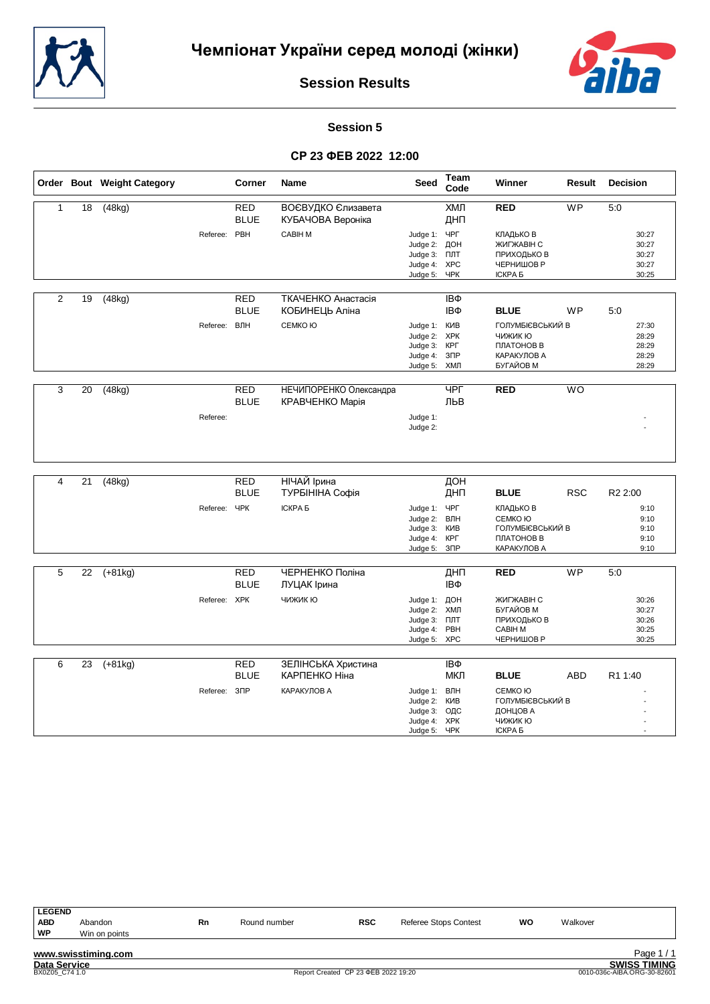



#### **Session 5**

#### **СР 23 ФЕВ 2022 12:00**

|                         |                 | Order Bout Weight Category |                          | Corner                    | <b>Name</b>                               | <b>Seed</b>                                                                   | Team<br>Code                 | Winner                                                                              | Result     | <b>Decision</b>                           |
|-------------------------|-----------------|----------------------------|--------------------------|---------------------------|-------------------------------------------|-------------------------------------------------------------------------------|------------------------------|-------------------------------------------------------------------------------------|------------|-------------------------------------------|
| $\mathbf{1}$            | 18              | (48kg)                     |                          | <b>RED</b><br><b>BLUE</b> | ВОЄВУДКО Єлизавета<br>КУБАЧОВА Вероніка   |                                                                               | ХМЛ<br>ДНП                   | <b>RED</b>                                                                          | <b>WP</b>  | 5:0                                       |
|                         |                 |                            | Referee: PBH             |                           | CABIH M                                   | Judge 1:<br>Judge 2: ДОН<br>Judge 3:<br>Judge 4: XPC<br>Judge 5: YPK          | ЧРГ<br>ПЛТ                   | КЛАДЬКО В<br>ЖИГЖАВІН С<br>ПРИХОДЬКО В<br>ЧЕРНИШОВ Р<br><b>ICKPA 5</b>              |            | 30:27<br>30:27<br>30:27<br>30:27<br>30:25 |
| $\overline{2}$          | 19              | (48kg)                     |                          | <b>RED</b>                | ТКАЧЕНКО Анастасія                        |                                                                               | IΒΦ                          |                                                                                     |            |                                           |
|                         |                 |                            |                          | <b>BLUE</b>               | КОБИНЕЦЬ Аліна                            |                                                                               | IΒΦ                          | <b>BLUE</b>                                                                         | <b>WP</b>  | 5:0                                       |
|                         |                 |                            | Referee:                 | ВЛН                       | СЕМКО Ю                                   | Judge 1: KVIB<br>Judge 2: XPK<br>Judge 3: KPL<br>Judge 4: 3NP<br>Judge 5: ХМЛ |                              | ГОЛУМБІЄВСЬКИЙ В<br>ЧИЖИК Ю<br>ПЛАТОНОВ В<br>КАРАКУЛОВ А<br>БУГАЙОВ М               |            | 27:30<br>28:29<br>28:29<br>28:29<br>28:29 |
| $\overline{3}$          | $\overline{20}$ | (48kg)                     |                          | <b>RED</b><br><b>BLUE</b> | НЕЧИПОРЕНКО Олександра<br>КРАВЧЕНКО Марія |                                                                               | $\Psi$<br>ЛЬВ                | <b>RED</b>                                                                          | <b>WO</b>  |                                           |
|                         |                 |                            | Referee:                 |                           |                                           | Judge 1:<br>Judge 2:                                                          |                              |                                                                                     |            |                                           |
|                         |                 |                            |                          |                           |                                           |                                                                               |                              |                                                                                     |            |                                           |
| $\overline{\mathbf{4}}$ | 21              | (48kg)                     |                          | <b>RED</b><br><b>BLUE</b> | НІЧАЙ Ірина<br>ТУРБІНІНА Софія            |                                                                               | ДОН<br>ДНП                   | <b>BLUE</b>                                                                         | <b>RSC</b> | R <sub>2</sub> 2:00                       |
|                         |                 |                            | Referee: YPK             |                           | <b>ICKPA 5</b>                            | Judge 1: ЧРГ<br>Judge 2: ВЛН<br>Judge 3:<br>Judge 4: KPL<br>Judge 5:          | <b>KNB</b><br>3 <sup>7</sup> | КЛАДЬКО В<br>СЕМКО Ю<br>ГОЛУМБІЄВСЬКИЙ В<br>ПЛАТОНОВ В<br>КАРАКУЛОВ А               |            | 9:10<br>9:10<br>9:10<br>9:10<br>9:10      |
| 5                       | 22              | $(+81kg)$                  |                          | <b>RED</b><br><b>BLUE</b> | ЧЕРНЕНКО Поліна<br>ЛУЦАК Ірина            |                                                                               | ДНП<br>IΒΦ                   | <b>RED</b>                                                                          | <b>WP</b>  | 5:0                                       |
|                         |                 |                            | Referee: XPK             |                           | ЧИЖИК Ю                                   | Judge 1: ДОН<br>Judge 2:<br>Judge 3:<br>Judge 4: PBH<br>Judge 5:              | ХМЛ<br>ПЛТ<br><b>XPC</b>     | ЖИГЖАВІН С<br>БУГАЙОВ М<br>ПРИХОДЬКО В<br><b>CABIH M</b><br>ЧЕРНИШОВ Р              |            | 30:26<br>30:27<br>30:26<br>30:25<br>30:25 |
| 6                       | 23              | $(+81kg)$                  |                          | <b>RED</b>                | ЗЕЛІНСЬКА Христина                        |                                                                               | IΒΦ                          |                                                                                     |            |                                           |
|                         |                 |                            | Referee: 3 <sub>ΠP</sub> | <b>BLUE</b>               | КАРПЕНКО Ніна<br>КАРАКУЛОВ А              | Judge 1:<br>Judge 2:<br>Judge 3: ОДС<br>Judge 4: XPK<br>Judge 5: ЧРК          | МКЛ<br>ВЛН<br>КИВ            | <b>BLUE</b><br>СЕМКО Ю<br>ГОЛУМБІЄВСЬКИЙ В<br>ДОНЦОВ А<br>ЧИЖИК Ю<br><b>ІСКРА Б</b> | ABD        | R1 1:40                                   |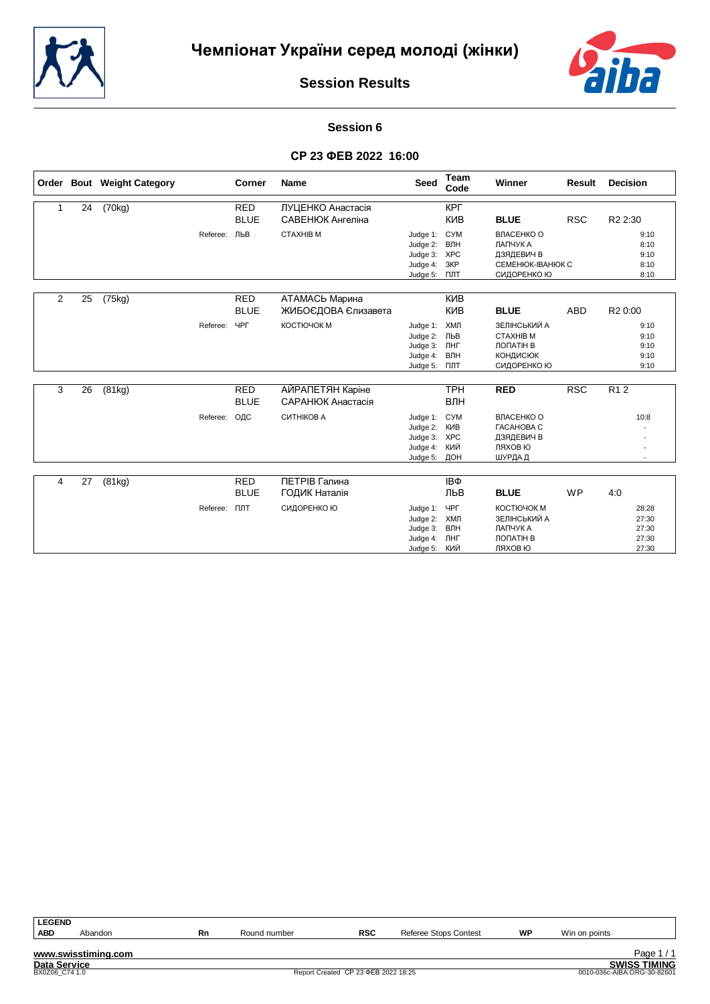



#### **Session 6**

## **СР 23 ФЕВ 2022 16:00**

|                |    | Order Bout Weight Category |          | <b>Corner</b> | <b>Name</b>           | <b>Seed</b>          | Team<br>Code      | Winner                   | Result     | <b>Decision</b>     |
|----------------|----|----------------------------|----------|---------------|-----------------------|----------------------|-------------------|--------------------------|------------|---------------------|
|                | 24 | (70kg)                     |          | <b>RED</b>    | ЛУЦЕНКО Анастасія     |                      | <b>KPL</b>        |                          |            |                     |
|                |    |                            |          | <b>BLUE</b>   | САВЕНЮК Ангеліна      |                      | <b>KNB</b>        | <b>BLUE</b>              | <b>RSC</b> | R2 2:30             |
|                |    |                            | Referee: | ЛЬВ           | <b>CTAXHIB M</b>      | Judge 1:             | <b>CYM</b>        | ВЛАСЕНКО О               |            | 9:10                |
|                |    |                            |          |               |                       | Judge 2:             | ВЛН               | ЛАПЧУК А                 |            | 8:10                |
|                |    |                            |          |               |                       | Judge 3:             | <b>XPC</b>        | ДЗЯДЕВИЧ В               |            | 9:10                |
|                |    |                            |          |               |                       | Judge 4:             | ЗКР               | СЕМЕНЮК-ІВАНЮК С         |            | 8:10                |
|                |    |                            |          |               |                       | Judge 5:             | ПЛТ               | СИДОРЕНКО Ю              |            | 8:10                |
| $\overline{2}$ | 25 | (75kg)                     |          | <b>RED</b>    | <b>АТАМАСЬ Марина</b> |                      | КИВ               |                          |            |                     |
|                |    |                            |          | <b>BLUE</b>   | ЖИБОЄДОВА Єлизавета   |                      | <b>KNB</b>        | <b>BLUE</b>              | <b>ABD</b> | R <sub>2</sub> 0:00 |
|                |    |                            |          |               |                       |                      |                   |                          |            |                     |
|                |    |                            | Referee: | <b>YPF</b>    | КОСТЮЧОК М            | Judge 1:             | ХМЛ               | ЗЕЛІНСЬКИЙ А             |            | 9:10                |
|                |    |                            |          |               |                       | Judge 2: ЛЬВ         |                   | <b>CTAXHIB M</b>         |            | 9:10                |
|                |    |                            |          |               |                       | Judge 3:             | ЛНГ               | ЛОПАТІН В                |            | 9:10                |
|                |    |                            |          |               |                       | Judge 4:             | ВЛН               | <b>КОНДИСЮК</b>          |            | 9:10                |
|                |    |                            |          |               |                       | Judge 5:             | ПЛТ               | СИДОРЕНКО Ю              |            | 9:10                |
| 3              | 26 | (81kg)                     |          | <b>RED</b>    | АЙРАПЕТЯН Каріне      |                      | <b>TPH</b>        | <b>RED</b>               | RSC        | R <sub>12</sub>     |
|                |    |                            |          | <b>BLUE</b>   | САРАНЮК Анастасія     |                      | ВЛН               |                          |            |                     |
|                |    |                            |          |               |                       |                      |                   |                          |            |                     |
|                |    |                            | Referee: | ОДС           | СИТНІКОВ А            | Judge 1:             | <b>CYM</b>        | ВЛАСЕНКО О               |            | 10:8                |
|                |    |                            |          |               |                       | Judge 2:             | KNB               | <b><i>TACAHOBA C</i></b> |            |                     |
|                |    |                            |          |               |                       | Judge 3:<br>Judge 4: | <b>XPC</b><br>КИЙ | ДЗЯДЕВИЧ В<br>ЛЯХОВ Ю    |            |                     |
|                |    |                            |          |               |                       | Judge 5:             | ДОН               |                          |            |                     |
|                |    |                            |          |               |                       |                      |                   | ШУРДА Д                  |            |                     |
| 4              | 27 | (81kg)                     |          | <b>RED</b>    | ПЕТРІВ Галина         |                      | IΒΦ               |                          |            |                     |
|                |    |                            |          | <b>BLUE</b>   | ГОДИК Наталія         |                      | ЛЬВ               | <b>BLUE</b>              | <b>WP</b>  | 4:0                 |
|                |    |                            | Referee: | <b>DJT</b>    | СИДОРЕНКО Ю           | Judge 1:             | ЧРГ               | КОСТЮЧОК М               |            | 28:28               |
|                |    |                            |          |               |                       | Judge 2:             | ХМЛ               | ЗЕЛІНСЬКИЙ А             |            | 27:30               |
|                |    |                            |          |               |                       | Judge 3:             | ВЛН               | ЛАПЧУК А                 |            | 27:30               |
|                |    |                            |          |               |                       | Judge 4:             | ЛНГ               | ЛОПАТІН В                |            | 27:30               |
|                |    |                            |          |               |                       | Judge 5: КИЙ         |                   | ЛЯХОВ Ю                  |            | 27:30               |

| <b>LEGEND</b>       |                     |    |                                     |            |                       |    |                             |
|---------------------|---------------------|----|-------------------------------------|------------|-----------------------|----|-----------------------------|
| <b>ABD</b>          | Abandon             | Rn | Round number                        | <b>RSC</b> | Referee Stops Contest | WP | Win on points               |
|                     |                     |    |                                     |            |                       |    |                             |
|                     | www.swisstiming.com |    |                                     |            |                       |    | Page 1/1                    |
| <b>Data Service</b> |                     |    |                                     |            |                       |    | <b>SWISS TIMING</b>         |
| BX0Z06 C74 1.0      |                     |    | Report Created CP 23 ΦEB 2022 18:25 |            |                       |    | 0010-036c-AIBA.ORG-30-82601 |